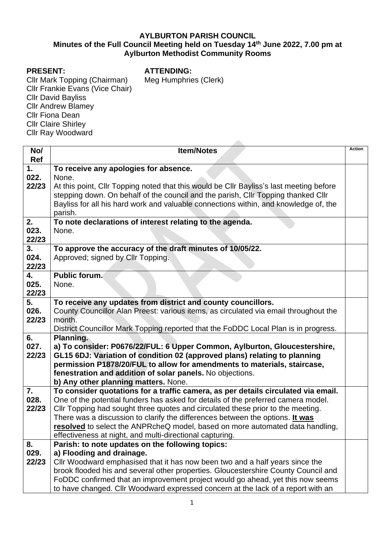## **AYLBURTON PARISH COUNCIL Minutes of the Full Council Meeting held on Tuesday 14 th June 2022, 7.00 pm at Aylburton Methodist Community Rooms**

## **PRESENT:**

**ATTENDING:**

Meg Humphries (Clerk)

Cllr Mark Topping (Chairman) Cllr Frankie Evans (Vice Chair) Cllr David Bayliss Cllr Andrew Blamey Cllr Fiona Dean Cllr Claire Shirley Cllr Ray Woodward

**No/ Ref Item/Notes** Action **1. 022. 22/23 To receive any apologies for absence.** None. At this point, Cllr Topping noted that this would be Cllr Bayliss's last meeting before stepping down. On behalf of the council and the parish, Cllr Topping thanked Cllr Bayliss for all his hard work and valuable connections within, and knowledge of, the parish. **2. 023. 22/23 To note declarations of interest relating to the agenda.** None. **3. 024. 22/23 To approve the accuracy of the draft minutes of 10/05/22.** Approved; signed by Cllr Topping. **4. 025. 22/23 Public forum.** None. **5. 026. 22/23 To receive any updates from district and county councillors.** County Councillor Alan Preest: various items, as circulated via email throughout the month. District Councillor Mark Topping reported that the FoDDC Local Plan is in progress. **6. 027. 22/23 Planning. a) To consider: P0676/22/FUL: 6 Upper Common, Aylburton, Gloucestershire, GL15 6DJ: Variation of condition 02 (approved plans) relating to planning permission P1878/20/FUL to allow for amendments to materials, staircase, fenestration and addition of solar panels.** No objections. **b) Any other planning matters.** None. **7. 028. 22/23 To consider quotations for a traffic camera, as per details circulated via email.** One of the potential funders has asked for details of the preferred camera model. Cllr Topping had sought three quotes and circulated these prior to the meeting. There was a discussion to clarify the differences between the options. **It was resolved** to select the ANPRcheQ model, based on more automated data handling, effectiveness at night, and multi-directional capturing. **8. 029. 22/23 Parish: to note updates on the following topics: a) Flooding and drainage.** Cllr Woodward emphasised that it has now been two and a half years since the brook flooded his and several other properties. Gloucestershire County Council and FoDDC confirmed that an improvement project would go ahead, yet this now seems to have changed. Cllr Woodward expressed concern at the lack of a report with an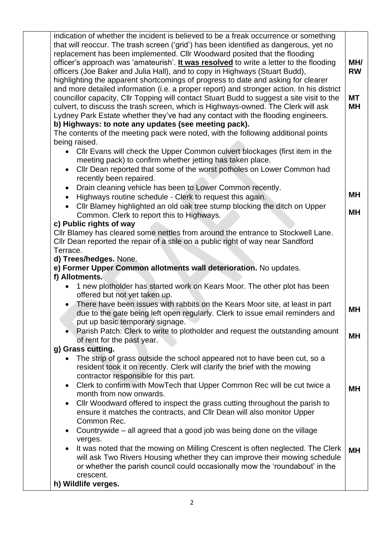| indication of whether the incident is believed to be a freak occurrence or something                                                                                                                                                                                                                                                                                                                                                                                                                                                                                                                                                                                                                                                                                                                                                                                                                                                            |                                     |
|-------------------------------------------------------------------------------------------------------------------------------------------------------------------------------------------------------------------------------------------------------------------------------------------------------------------------------------------------------------------------------------------------------------------------------------------------------------------------------------------------------------------------------------------------------------------------------------------------------------------------------------------------------------------------------------------------------------------------------------------------------------------------------------------------------------------------------------------------------------------------------------------------------------------------------------------------|-------------------------------------|
| that will reoccur. The trash screen ('grid') has been identified as dangerous, yet no<br>replacement has been implemented. Cllr Woodward posited that the flooding<br>officer's approach was 'amateurish'. It was resolved to write a letter to the flooding<br>officers (Joe Baker and Julia Hall), and to copy in Highways (Stuart Budd),<br>highlighting the apparent shortcomings of progress to date and asking for clearer<br>and more detailed information (i.e. a proper report) and stronger action. In his district<br>councillor capacity, Cllr Topping will contact Stuart Budd to suggest a site visit to the<br>culvert, to discuss the trash screen, which is Highways-owned. The Clerk will ask<br>Lydney Park Estate whether they've had any contact with the flooding engineers.<br>b) Highways: to note any updates (see meeting pack).<br>The contents of the meeting pack were noted, with the following additional points | MH/<br><b>RW</b><br><b>MT</b><br>MН |
| being raised.<br>Cllr Evans will check the Upper Common culvert blockages (first item in the<br>$\bullet$<br>meeting pack) to confirm whether jetting has taken place.<br>Cllr Dean reported that some of the worst potholes on Lower Common had<br>$\bullet$<br>recently been repaired.<br>Drain cleaning vehicle has been to Lower Common recently.<br>$\bullet$<br>Highways routine schedule - Clerk to request this again.<br>$\bullet$<br>Cllr Blamey highlighted an old oak tree stump blocking the ditch on Upper<br>Common. Clerk to report this to Highways.<br>c) Public rights of way<br>Cllr Blamey has cleared some nettles from around the entrance to Stockwell Lane.<br>Cllr Dean reported the repair of a stile on a public right of way near Sandford<br>Terrace.                                                                                                                                                             | MН<br>MН                            |
| d) Trees/hedges. None.<br>e) Former Upper Common allotments wall deterioration. No updates.<br>f) Allotments.                                                                                                                                                                                                                                                                                                                                                                                                                                                                                                                                                                                                                                                                                                                                                                                                                                   |                                     |
| 1 new plotholder has started work on Kears Moor. The other plot has been<br>offered but not yet taken up.<br>There have been issues with rabbits on the Kears Moor site, at least in part<br>due to the gate being left open regularly. Clerk to issue email reminders and                                                                                                                                                                                                                                                                                                                                                                                                                                                                                                                                                                                                                                                                      | MН                                  |
| put up basic temporary signage.<br>Parish Patch: Clerk to write to plotholder and request the outstanding amount<br>of rent for the past year.                                                                                                                                                                                                                                                                                                                                                                                                                                                                                                                                                                                                                                                                                                                                                                                                  | MН                                  |
| g) Grass cutting.<br>The strip of grass outside the school appeared not to have been cut, so a<br>resident took it on recently. Clerk will clarify the brief with the mowing<br>contractor responsible for this part.<br>Clerk to confirm with MowTech that Upper Common Rec will be cut twice a<br>$\bullet$<br>month from now onwards.<br>Cllr Woodward offered to inspect the grass cutting throughout the parish to<br>$\bullet$<br>ensure it matches the contracts, and CIIr Dean will also monitor Upper<br>Common Rec.                                                                                                                                                                                                                                                                                                                                                                                                                   | MН                                  |
| Countrywide – all agreed that a good job was being done on the village<br>$\bullet$<br>verges.<br>It was noted that the mowing on Milling Crescent is often neglected. The Clerk<br>$\bullet$<br>will ask Two Rivers Housing whether they can improve their mowing schedule<br>or whether the parish council could occasionally mow the 'roundabout' in the<br>crescent.<br>h) Wildlife verges.                                                                                                                                                                                                                                                                                                                                                                                                                                                                                                                                                 | <b>MH</b>                           |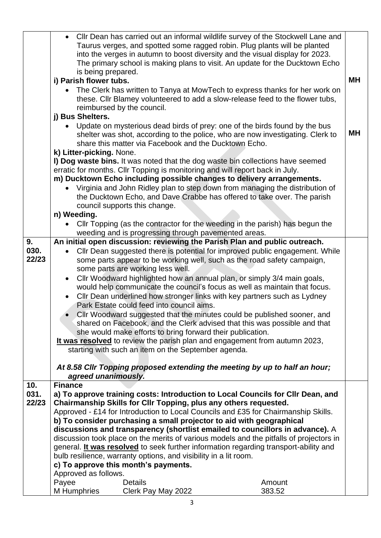|                      | • Cllr Dean has carried out an informal wildlife survey of the Stockwell Lane and<br>Taurus verges, and spotted some ragged robin. Plug plants will be planted<br>into the verges in autumn to boost diversity and the visual display for 2023.<br>The primary school is making plans to visit. An update for the Ducktown Echo<br>is being prepared.<br>i) Parish flower tubs.<br>• The Clerk has written to Tanya at MowTech to express thanks for her work on<br>these. Cllr Blamey volunteered to add a slow-release feed to the flower tubs,                                                                                                                                                                                                                                |                                                                                                                                                                                                     |                                                                                                                                                                                                                                                                                                                                                                                                                                                                                                                                                                                                                                                                                                                  |           |  |
|----------------------|----------------------------------------------------------------------------------------------------------------------------------------------------------------------------------------------------------------------------------------------------------------------------------------------------------------------------------------------------------------------------------------------------------------------------------------------------------------------------------------------------------------------------------------------------------------------------------------------------------------------------------------------------------------------------------------------------------------------------------------------------------------------------------|-----------------------------------------------------------------------------------------------------------------------------------------------------------------------------------------------------|------------------------------------------------------------------------------------------------------------------------------------------------------------------------------------------------------------------------------------------------------------------------------------------------------------------------------------------------------------------------------------------------------------------------------------------------------------------------------------------------------------------------------------------------------------------------------------------------------------------------------------------------------------------------------------------------------------------|-----------|--|
|                      | j) Bus Shelters.                                                                                                                                                                                                                                                                                                                                                                                                                                                                                                                                                                                                                                                                                                                                                                 | reimbursed by the council.                                                                                                                                                                          |                                                                                                                                                                                                                                                                                                                                                                                                                                                                                                                                                                                                                                                                                                                  |           |  |
|                      |                                                                                                                                                                                                                                                                                                                                                                                                                                                                                                                                                                                                                                                                                                                                                                                  | share this matter via Facebook and the Ducktown Echo.                                                                                                                                               | Update on mysterious dead birds of prey: one of the birds found by the bus<br>shelter was shot, according to the police, who are now investigating. Clerk to                                                                                                                                                                                                                                                                                                                                                                                                                                                                                                                                                     | <b>MH</b> |  |
|                      | k) Litter-picking. None.                                                                                                                                                                                                                                                                                                                                                                                                                                                                                                                                                                                                                                                                                                                                                         | council supports this change.                                                                                                                                                                       | I) Dog waste bins. It was noted that the dog waste bin collections have seemed<br>erratic for months. Cllr Topping is monitoring and will report back in July.<br>m) Ducktown Echo including possible changes to delivery arrangements.<br>• Virginia and John Ridley plan to step down from managing the distribution of<br>the Ducktown Echo, and Dave Crabbe has offered to take over. The parish                                                                                                                                                                                                                                                                                                             |           |  |
|                      | n) Weeding.                                                                                                                                                                                                                                                                                                                                                                                                                                                                                                                                                                                                                                                                                                                                                                      | weeding and is progressing through pavemented areas.                                                                                                                                                | Cllr Topping (as the contractor for the weeding in the parish) has begun the                                                                                                                                                                                                                                                                                                                                                                                                                                                                                                                                                                                                                                     |           |  |
|                      |                                                                                                                                                                                                                                                                                                                                                                                                                                                                                                                                                                                                                                                                                                                                                                                  |                                                                                                                                                                                                     |                                                                                                                                                                                                                                                                                                                                                                                                                                                                                                                                                                                                                                                                                                                  |           |  |
| 9.<br>030.<br>22/23  | $\bullet$<br>$\bullet$                                                                                                                                                                                                                                                                                                                                                                                                                                                                                                                                                                                                                                                                                                                                                           | some parts are working less well.<br>Park Estate could feed into council aims.<br>she would make efforts to bring forward their publication.<br>starting with such an item on the September agenda. | An initial open discussion: reviewing the Parish Plan and public outreach.<br>Cllr Dean suggested there is potential for improved public engagement. While<br>some parts appear to be working well, such as the road safety campaign,<br>Cllr Woodward highlighted how an annual plan, or simply 3/4 main goals,<br>would help communicate the council's focus as well as maintain that focus.<br>CIIr Dean underlined how stronger links with key partners such as Lydney<br>Cllr Woodward suggested that the minutes could be published sooner, and<br>shared on Facebook, and the Clerk advised that this was possible and that<br>It was resolved to review the parish plan and engagement from autumn 2023, |           |  |
|                      | At 8.58 Cllr Topping proposed extending the meeting by up to half an hour;<br>agreed unanimously.                                                                                                                                                                                                                                                                                                                                                                                                                                                                                                                                                                                                                                                                                |                                                                                                                                                                                                     |                                                                                                                                                                                                                                                                                                                                                                                                                                                                                                                                                                                                                                                                                                                  |           |  |
| 10.<br>031.<br>22/23 | <b>Finance</b><br>a) To approve training costs: Introduction to Local Councils for Cllr Dean, and<br>Chairmanship Skills for Cllr Topping, plus any others requested.<br>Approved - £14 for Introduction to Local Councils and £35 for Chairmanship Skills.<br>b) To consider purchasing a small projector to aid with geographical<br>discussions and transparency (shortlist emailed to councillors in advance). A<br>discussion took place on the merits of various models and the pitfalls of projectors in<br>general. It was resolved to seek further information regarding transport-ability and<br>bulb resilience, warranty options, and visibility in a lit room.<br>c) To approve this month's payments.<br>Approved as follows.<br>Payee<br><b>Details</b><br>Amount |                                                                                                                                                                                                     |                                                                                                                                                                                                                                                                                                                                                                                                                                                                                                                                                                                                                                                                                                                  |           |  |
|                      | M Humphries                                                                                                                                                                                                                                                                                                                                                                                                                                                                                                                                                                                                                                                                                                                                                                      | Clerk Pay May 2022                                                                                                                                                                                  | 383.52                                                                                                                                                                                                                                                                                                                                                                                                                                                                                                                                                                                                                                                                                                           |           |  |